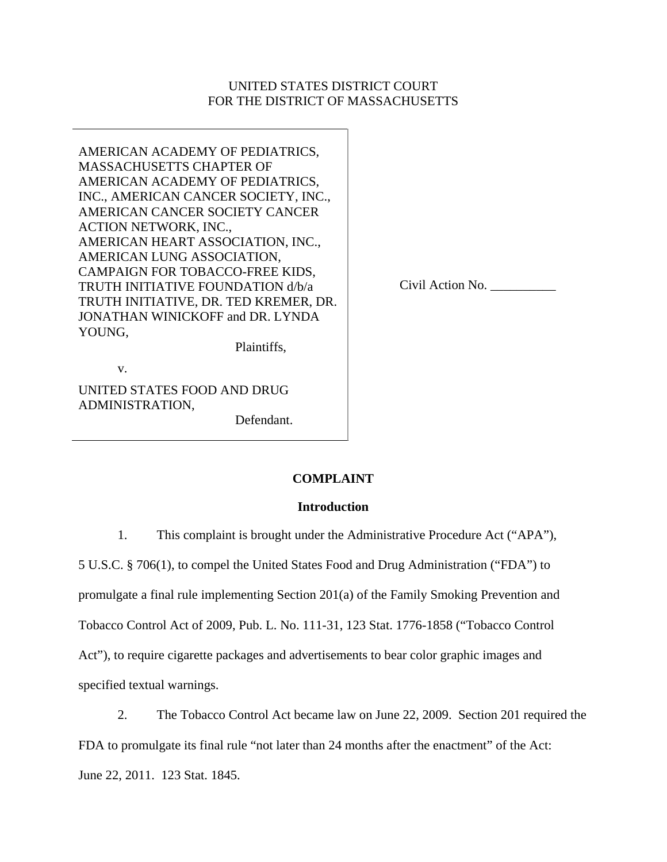## UNITED STATES DISTRICT COURT FOR THE DISTRICT OF MASSACHUSETTS

AMERICAN ACADEMY OF PEDIATRICS, MASSACHUSETTS CHAPTER OF AMERICAN ACADEMY OF PEDIATRICS, INC., AMERICAN CANCER SOCIETY, INC., AMERICAN CANCER SOCIETY CANCER ACTION NETWORK, INC., AMERICAN HEART ASSOCIATION, INC., AMERICAN LUNG ASSOCIATION, CAMPAIGN FOR TOBACCO-FREE KIDS, TRUTH INITIATIVE FOUNDATION d/b/a TRUTH INITIATIVE, DR. TED KREMER, DR. JONATHAN WINICKOFF and DR. LYNDA YOUNG,

Civil Action No. \_\_\_\_\_\_\_\_\_\_

Plaintiffs,

v.

UNITED STATES FOOD AND DRUG ADMINISTRATION,

Defendant.

# **COMPLAINT**

## **Introduction**

1. This complaint is brought under the Administrative Procedure Act ("APA"),

5 U.S.C. § 706(1), to compel the United States Food and Drug Administration ("FDA") to

promulgate a final rule implementing Section 201(a) of the Family Smoking Prevention and

Tobacco Control Act of 2009, Pub. L. No. 111-31, 123 Stat. 1776-1858 ("Tobacco Control

Act"), to require cigarette packages and advertisements to bear color graphic images and

specified textual warnings.

2. The Tobacco Control Act became law on June 22, 2009. Section 201 required the FDA to promulgate its final rule "not later than 24 months after the enactment" of the Act: June 22, 2011. 123 Stat. 1845.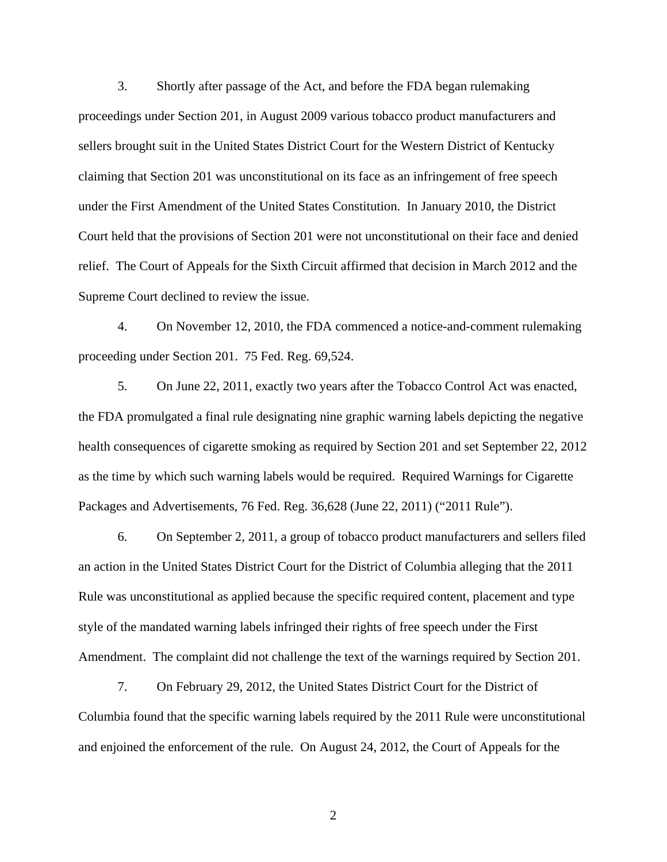3. Shortly after passage of the Act, and before the FDA began rulemaking proceedings under Section 201, in August 2009 various tobacco product manufacturers and sellers brought suit in the United States District Court for the Western District of Kentucky claiming that Section 201 was unconstitutional on its face as an infringement of free speech under the First Amendment of the United States Constitution. In January 2010, the District Court held that the provisions of Section 201 were not unconstitutional on their face and denied relief. The Court of Appeals for the Sixth Circuit affirmed that decision in March 2012 and the Supreme Court declined to review the issue.

4. On November 12, 2010, the FDA commenced a notice-and-comment rulemaking proceeding under Section 201. 75 Fed. Reg. 69,524.

5. On June 22, 2011, exactly two years after the Tobacco Control Act was enacted, the FDA promulgated a final rule designating nine graphic warning labels depicting the negative health consequences of cigarette smoking as required by Section 201 and set September 22, 2012 as the time by which such warning labels would be required. Required Warnings for Cigarette Packages and Advertisements, 76 Fed. Reg. 36,628 (June 22, 2011) ("2011 Rule").

6. On September 2, 2011, a group of tobacco product manufacturers and sellers filed an action in the United States District Court for the District of Columbia alleging that the 2011 Rule was unconstitutional as applied because the specific required content, placement and type style of the mandated warning labels infringed their rights of free speech under the First Amendment. The complaint did not challenge the text of the warnings required by Section 201.

7. On February 29, 2012, the United States District Court for the District of Columbia found that the specific warning labels required by the 2011 Rule were unconstitutional and enjoined the enforcement of the rule. On August 24, 2012, the Court of Appeals for the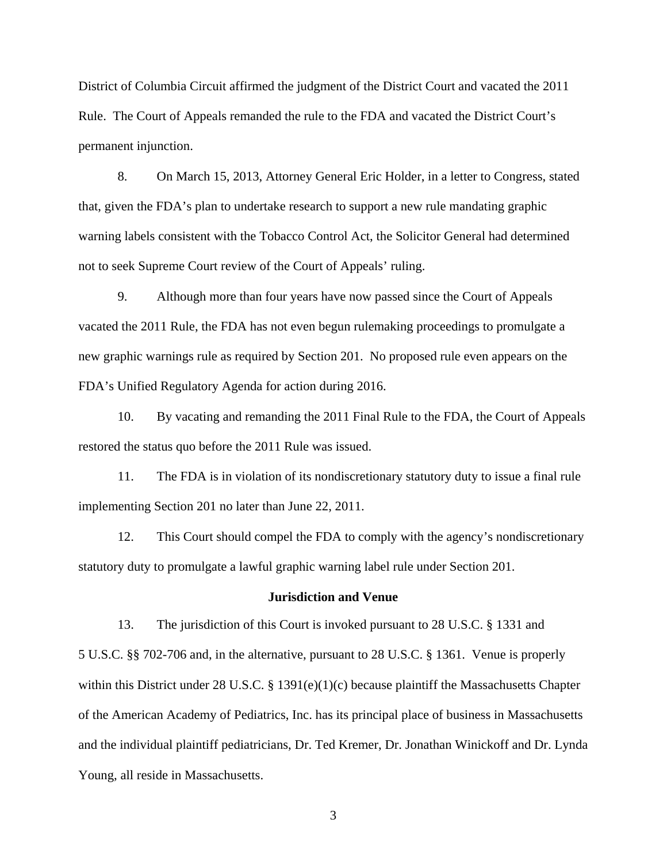District of Columbia Circuit affirmed the judgment of the District Court and vacated the 2011 Rule. The Court of Appeals remanded the rule to the FDA and vacated the District Court's permanent injunction.

8. On March 15, 2013, Attorney General Eric Holder, in a letter to Congress, stated that, given the FDA's plan to undertake research to support a new rule mandating graphic warning labels consistent with the Tobacco Control Act, the Solicitor General had determined not to seek Supreme Court review of the Court of Appeals' ruling.

9. Although more than four years have now passed since the Court of Appeals vacated the 2011 Rule, the FDA has not even begun rulemaking proceedings to promulgate a new graphic warnings rule as required by Section 201. No proposed rule even appears on the FDA's Unified Regulatory Agenda for action during 2016.

10. By vacating and remanding the 2011 Final Rule to the FDA, the Court of Appeals restored the status quo before the 2011 Rule was issued.

11. The FDA is in violation of its nondiscretionary statutory duty to issue a final rule implementing Section 201 no later than June 22, 2011.

12. This Court should compel the FDA to comply with the agency's nondiscretionary statutory duty to promulgate a lawful graphic warning label rule under Section 201.

#### **Jurisdiction and Venue**

13. The jurisdiction of this Court is invoked pursuant to 28 U.S.C. § 1331 and 5 U.S.C. §§ 702-706 and, in the alternative, pursuant to 28 U.S.C. § 1361. Venue is properly within this District under 28 U.S.C. § 1391(e)(1)(c) because plaintiff the Massachusetts Chapter of the American Academy of Pediatrics, Inc. has its principal place of business in Massachusetts and the individual plaintiff pediatricians, Dr. Ted Kremer, Dr. Jonathan Winickoff and Dr. Lynda Young, all reside in Massachusetts.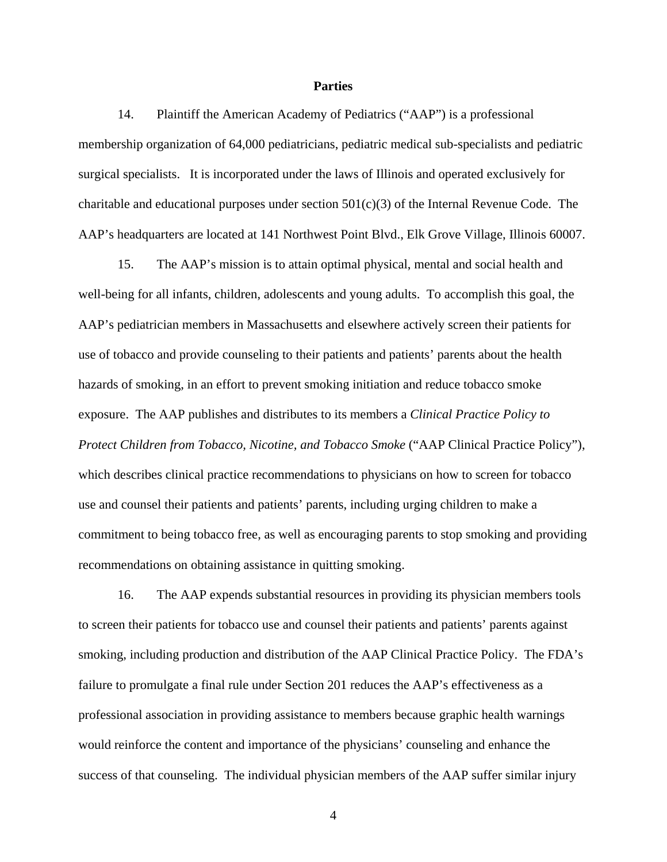## **Parties**

14. Plaintiff the American Academy of Pediatrics ("AAP") is a professional membership organization of 64,000 pediatricians, pediatric medical sub-specialists and pediatric surgical specialists. It is incorporated under the laws of Illinois and operated exclusively for charitable and educational purposes under section  $501(c)(3)$  of the Internal Revenue Code. The AAP's headquarters are located at 141 Northwest Point Blvd., Elk Grove Village, Illinois 60007.

15. The AAP's mission is to attain optimal physical, mental and social health and well-being for all infants, children, adolescents and young adults. To accomplish this goal, the AAP's pediatrician members in Massachusetts and elsewhere actively screen their patients for use of tobacco and provide counseling to their patients and patients' parents about the health hazards of smoking, in an effort to prevent smoking initiation and reduce tobacco smoke exposure. The AAP publishes and distributes to its members a *Clinical Practice Policy to Protect Children from Tobacco, Nicotine, and Tobacco Smoke* ("AAP Clinical Practice Policy"), which describes clinical practice recommendations to physicians on how to screen for tobacco use and counsel their patients and patients' parents, including urging children to make a commitment to being tobacco free, as well as encouraging parents to stop smoking and providing recommendations on obtaining assistance in quitting smoking.

16. The AAP expends substantial resources in providing its physician members tools to screen their patients for tobacco use and counsel their patients and patients' parents against smoking, including production and distribution of the AAP Clinical Practice Policy. The FDA's failure to promulgate a final rule under Section 201 reduces the AAP's effectiveness as a professional association in providing assistance to members because graphic health warnings would reinforce the content and importance of the physicians' counseling and enhance the success of that counseling. The individual physician members of the AAP suffer similar injury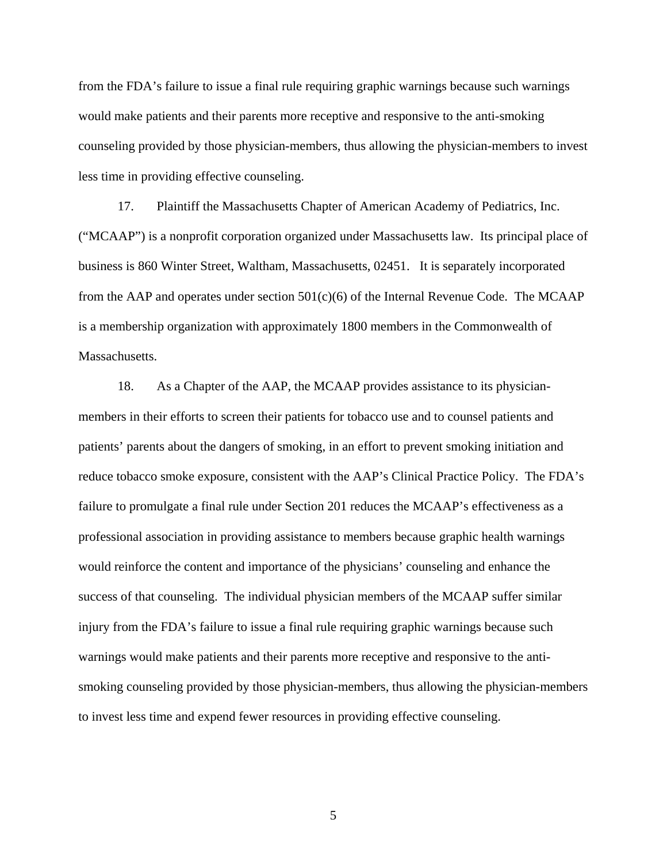from the FDA's failure to issue a final rule requiring graphic warnings because such warnings would make patients and their parents more receptive and responsive to the anti-smoking counseling provided by those physician-members, thus allowing the physician-members to invest less time in providing effective counseling.

17. Plaintiff the Massachusetts Chapter of American Academy of Pediatrics, Inc. ("MCAAP") is a nonprofit corporation organized under Massachusetts law. Its principal place of business is 860 Winter Street, Waltham, Massachusetts, 02451. It is separately incorporated from the AAP and operates under section  $501(c)(6)$  of the Internal Revenue Code. The MCAAP is a membership organization with approximately 1800 members in the Commonwealth of Massachusetts.

18. As a Chapter of the AAP, the MCAAP provides assistance to its physicianmembers in their efforts to screen their patients for tobacco use and to counsel patients and patients' parents about the dangers of smoking, in an effort to prevent smoking initiation and reduce tobacco smoke exposure, consistent with the AAP's Clinical Practice Policy. The FDA's failure to promulgate a final rule under Section 201 reduces the MCAAP's effectiveness as a professional association in providing assistance to members because graphic health warnings would reinforce the content and importance of the physicians' counseling and enhance the success of that counseling. The individual physician members of the MCAAP suffer similar injury from the FDA's failure to issue a final rule requiring graphic warnings because such warnings would make patients and their parents more receptive and responsive to the antismoking counseling provided by those physician-members, thus allowing the physician-members to invest less time and expend fewer resources in providing effective counseling.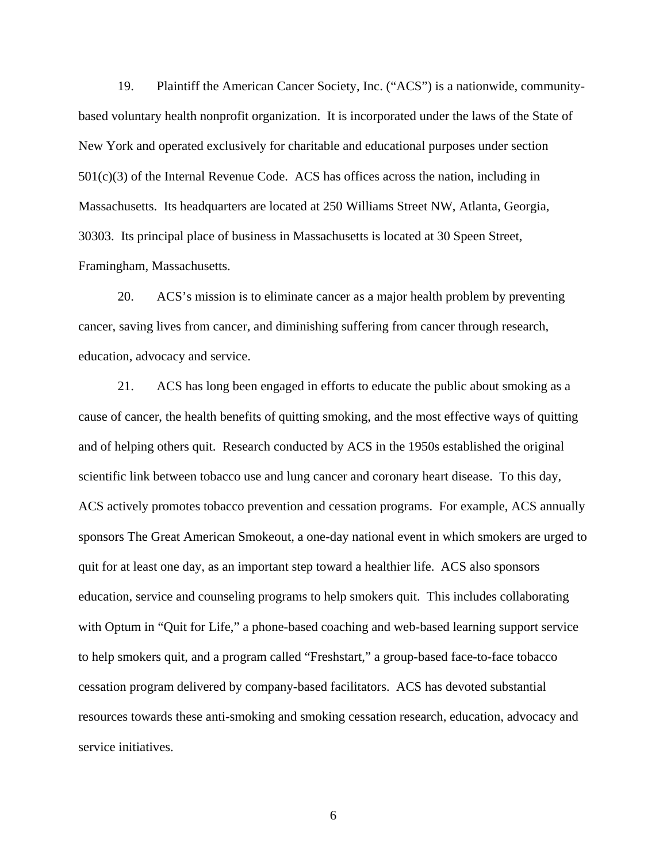19. Plaintiff the American Cancer Society, Inc. ("ACS") is a nationwide, communitybased voluntary health nonprofit organization. It is incorporated under the laws of the State of New York and operated exclusively for charitable and educational purposes under section 501(c)(3) of the Internal Revenue Code. ACS has offices across the nation, including in Massachusetts. Its headquarters are located at 250 Williams Street NW, Atlanta, Georgia, 30303. Its principal place of business in Massachusetts is located at 30 Speen Street, Framingham, Massachusetts.

20. ACS's mission is to eliminate cancer as a major health problem by preventing cancer, saving lives from cancer, and diminishing suffering from cancer through research, education, advocacy and service.

21. ACS has long been engaged in efforts to educate the public about smoking as a cause of cancer, the health benefits of quitting smoking, and the most effective ways of quitting and of helping others quit. Research conducted by ACS in the 1950s established the original scientific link between tobacco use and lung cancer and coronary heart disease. To this day, ACS actively promotes tobacco prevention and cessation programs. For example, ACS annually sponsors The Great American Smokeout, a one-day national event in which smokers are urged to quit for at least one day, as an important step toward a healthier life. ACS also sponsors education, service and counseling programs to help smokers quit. This includes collaborating with Optum in "Quit for Life," a phone-based coaching and web-based learning support service to help smokers quit, and a program called "Freshstart," a group-based face-to-face tobacco cessation program delivered by company-based facilitators. ACS has devoted substantial resources towards these anti-smoking and smoking cessation research, education, advocacy and service initiatives.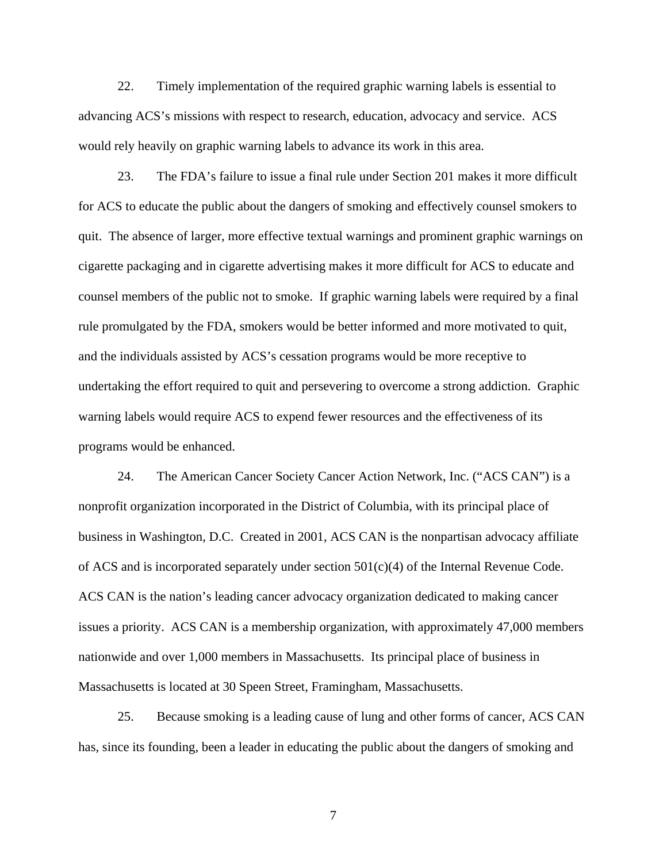22. Timely implementation of the required graphic warning labels is essential to advancing ACS's missions with respect to research, education, advocacy and service. ACS would rely heavily on graphic warning labels to advance its work in this area.

23. The FDA's failure to issue a final rule under Section 201 makes it more difficult for ACS to educate the public about the dangers of smoking and effectively counsel smokers to quit. The absence of larger, more effective textual warnings and prominent graphic warnings on cigarette packaging and in cigarette advertising makes it more difficult for ACS to educate and counsel members of the public not to smoke. If graphic warning labels were required by a final rule promulgated by the FDA, smokers would be better informed and more motivated to quit, and the individuals assisted by ACS's cessation programs would be more receptive to undertaking the effort required to quit and persevering to overcome a strong addiction. Graphic warning labels would require ACS to expend fewer resources and the effectiveness of its programs would be enhanced.

24. The American Cancer Society Cancer Action Network, Inc. ("ACS CAN") is a nonprofit organization incorporated in the District of Columbia, with its principal place of business in Washington, D.C. Created in 2001, ACS CAN is the nonpartisan advocacy affiliate of ACS and is incorporated separately under section  $501(c)(4)$  of the Internal Revenue Code. ACS CAN is the nation's leading cancer advocacy organization dedicated to making cancer issues a priority. ACS CAN is a membership organization, with approximately 47,000 members nationwide and over 1,000 members in Massachusetts. Its principal place of business in Massachusetts is located at 30 Speen Street, Framingham, Massachusetts.

25. Because smoking is a leading cause of lung and other forms of cancer, ACS CAN has, since its founding, been a leader in educating the public about the dangers of smoking and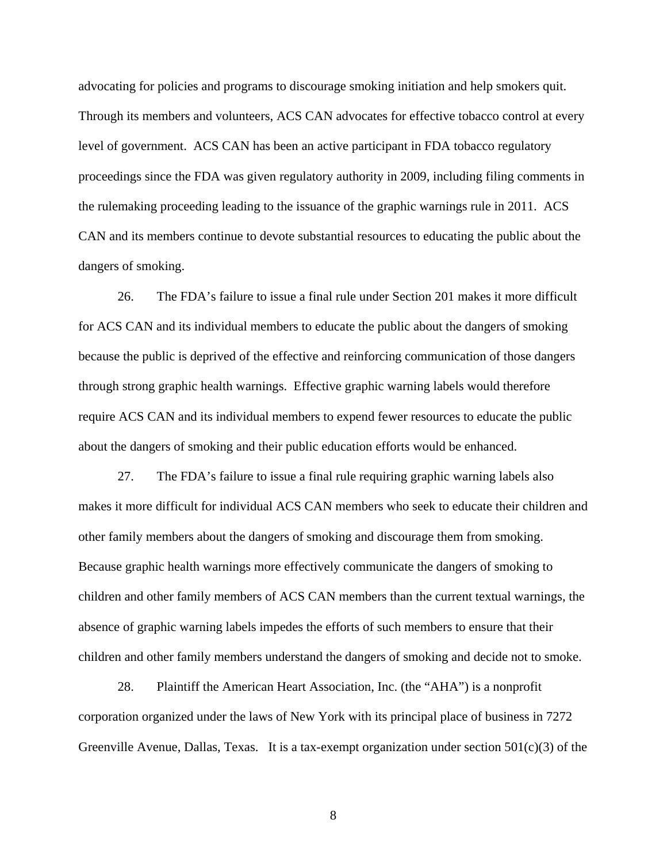advocating for policies and programs to discourage smoking initiation and help smokers quit. Through its members and volunteers, ACS CAN advocates for effective tobacco control at every level of government. ACS CAN has been an active participant in FDA tobacco regulatory proceedings since the FDA was given regulatory authority in 2009, including filing comments in the rulemaking proceeding leading to the issuance of the graphic warnings rule in 2011. ACS CAN and its members continue to devote substantial resources to educating the public about the dangers of smoking.

26. The FDA's failure to issue a final rule under Section 201 makes it more difficult for ACS CAN and its individual members to educate the public about the dangers of smoking because the public is deprived of the effective and reinforcing communication of those dangers through strong graphic health warnings. Effective graphic warning labels would therefore require ACS CAN and its individual members to expend fewer resources to educate the public about the dangers of smoking and their public education efforts would be enhanced.

27. The FDA's failure to issue a final rule requiring graphic warning labels also makes it more difficult for individual ACS CAN members who seek to educate their children and other family members about the dangers of smoking and discourage them from smoking. Because graphic health warnings more effectively communicate the dangers of smoking to children and other family members of ACS CAN members than the current textual warnings, the absence of graphic warning labels impedes the efforts of such members to ensure that their children and other family members understand the dangers of smoking and decide not to smoke.

28. Plaintiff the American Heart Association, Inc. (the "AHA") is a nonprofit corporation organized under the laws of New York with its principal place of business in 7272 Greenville Avenue, Dallas, Texas. It is a tax-exempt organization under section  $501(c)(3)$  of the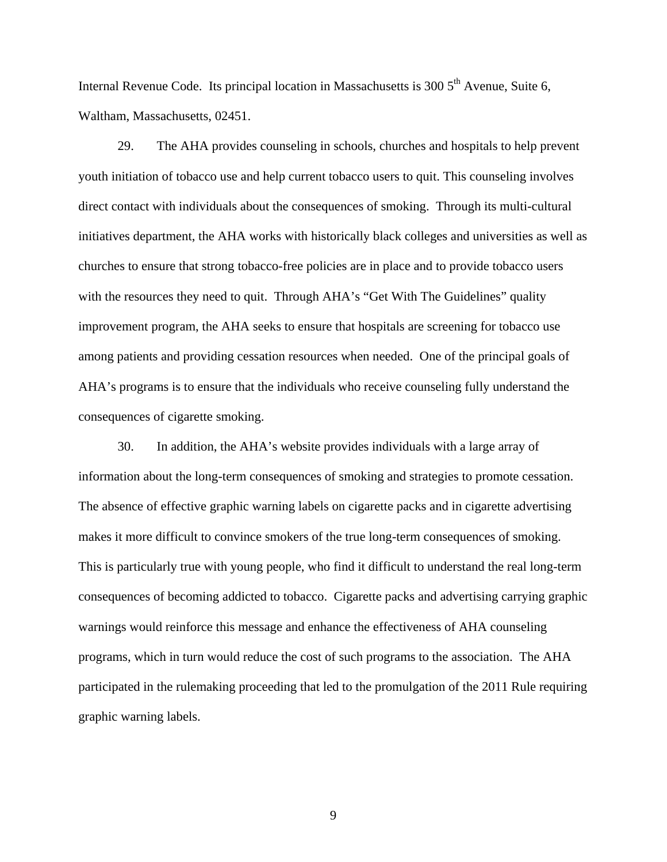Internal Revenue Code. Its principal location in Massachusetts is  $3005<sup>th</sup>$  Avenue, Suite 6, Waltham, Massachusetts, 02451.

29. The AHA provides counseling in schools, churches and hospitals to help prevent youth initiation of tobacco use and help current tobacco users to quit. This counseling involves direct contact with individuals about the consequences of smoking. Through its multi-cultural initiatives department, the AHA works with historically black colleges and universities as well as churches to ensure that strong tobacco-free policies are in place and to provide tobacco users with the resources they need to quit. Through AHA's "Get With The Guidelines" quality improvement program, the AHA seeks to ensure that hospitals are screening for tobacco use among patients and providing cessation resources when needed. One of the principal goals of AHA's programs is to ensure that the individuals who receive counseling fully understand the consequences of cigarette smoking.

30. In addition, the AHA's website provides individuals with a large array of information about the long-term consequences of smoking and strategies to promote cessation. The absence of effective graphic warning labels on cigarette packs and in cigarette advertising makes it more difficult to convince smokers of the true long-term consequences of smoking. This is particularly true with young people, who find it difficult to understand the real long-term consequences of becoming addicted to tobacco. Cigarette packs and advertising carrying graphic warnings would reinforce this message and enhance the effectiveness of AHA counseling programs, which in turn would reduce the cost of such programs to the association. The AHA participated in the rulemaking proceeding that led to the promulgation of the 2011 Rule requiring graphic warning labels.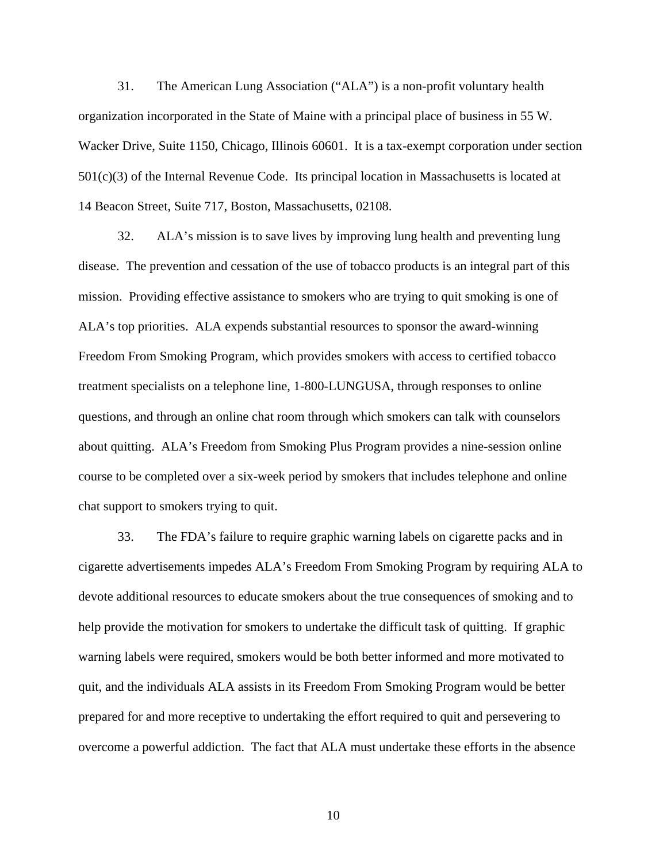31. The American Lung Association ("ALA") is a non-profit voluntary health organization incorporated in the State of Maine with a principal place of business in 55 W. Wacker Drive, Suite 1150, Chicago, Illinois 60601. It is a tax-exempt corporation under section 501(c)(3) of the Internal Revenue Code. Its principal location in Massachusetts is located at 14 Beacon Street, Suite 717, Boston, Massachusetts, 02108.

32. ALA's mission is to save lives by improving lung health and preventing lung disease. The prevention and cessation of the use of tobacco products is an integral part of this mission. Providing effective assistance to smokers who are trying to quit smoking is one of ALA's top priorities. ALA expends substantial resources to sponsor the award-winning Freedom From Smoking Program, which provides smokers with access to certified tobacco treatment specialists on a telephone line, 1-800-LUNGUSA, through responses to online questions, and through an online chat room through which smokers can talk with counselors about quitting. ALA's Freedom from Smoking Plus Program provides a nine-session online course to be completed over a six-week period by smokers that includes telephone and online chat support to smokers trying to quit.

33. The FDA's failure to require graphic warning labels on cigarette packs and in cigarette advertisements impedes ALA's Freedom From Smoking Program by requiring ALA to devote additional resources to educate smokers about the true consequences of smoking and to help provide the motivation for smokers to undertake the difficult task of quitting. If graphic warning labels were required, smokers would be both better informed and more motivated to quit, and the individuals ALA assists in its Freedom From Smoking Program would be better prepared for and more receptive to undertaking the effort required to quit and persevering to overcome a powerful addiction. The fact that ALA must undertake these efforts in the absence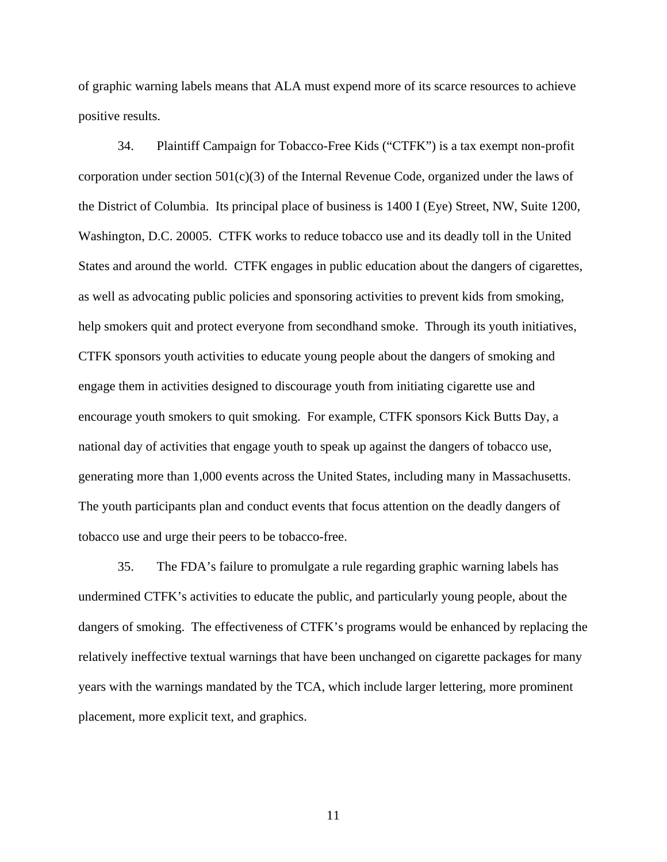of graphic warning labels means that ALA must expend more of its scarce resources to achieve positive results.

34. Plaintiff Campaign for Tobacco-Free Kids ("CTFK") is a tax exempt non-profit corporation under section  $501(c)(3)$  of the Internal Revenue Code, organized under the laws of the District of Columbia. Its principal place of business is 1400 I (Eye) Street, NW, Suite 1200, Washington, D.C. 20005. CTFK works to reduce tobacco use and its deadly toll in the United States and around the world. CTFK engages in public education about the dangers of cigarettes, as well as advocating public policies and sponsoring activities to prevent kids from smoking, help smokers quit and protect everyone from secondhand smoke. Through its youth initiatives, CTFK sponsors youth activities to educate young people about the dangers of smoking and engage them in activities designed to discourage youth from initiating cigarette use and encourage youth smokers to quit smoking. For example, CTFK sponsors Kick Butts Day, a national day of activities that engage youth to speak up against the dangers of tobacco use, generating more than 1,000 events across the United States, including many in Massachusetts. The youth participants plan and conduct events that focus attention on the deadly dangers of tobacco use and urge their peers to be tobacco-free.

35. The FDA's failure to promulgate a rule regarding graphic warning labels has undermined CTFK's activities to educate the public, and particularly young people, about the dangers of smoking. The effectiveness of CTFK's programs would be enhanced by replacing the relatively ineffective textual warnings that have been unchanged on cigarette packages for many years with the warnings mandated by the TCA, which include larger lettering, more prominent placement, more explicit text, and graphics.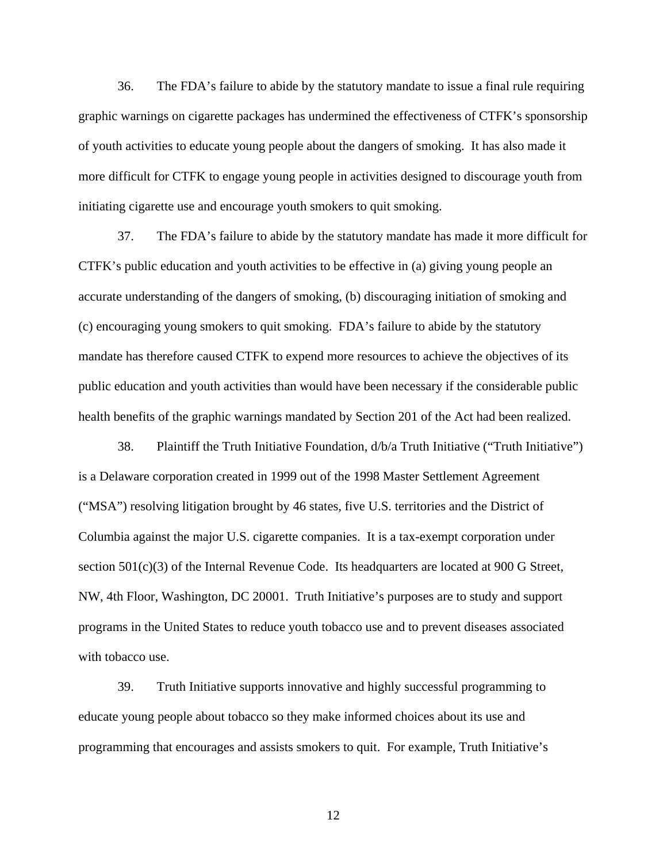36. The FDA's failure to abide by the statutory mandate to issue a final rule requiring graphic warnings on cigarette packages has undermined the effectiveness of CTFK's sponsorship of youth activities to educate young people about the dangers of smoking. It has also made it more difficult for CTFK to engage young people in activities designed to discourage youth from initiating cigarette use and encourage youth smokers to quit smoking.

37. The FDA's failure to abide by the statutory mandate has made it more difficult for CTFK's public education and youth activities to be effective in (a) giving young people an accurate understanding of the dangers of smoking, (b) discouraging initiation of smoking and (c) encouraging young smokers to quit smoking. FDA's failure to abide by the statutory mandate has therefore caused CTFK to expend more resources to achieve the objectives of its public education and youth activities than would have been necessary if the considerable public health benefits of the graphic warnings mandated by Section 201 of the Act had been realized.

38. Plaintiff the Truth Initiative Foundation, d/b/a Truth Initiative ("Truth Initiative") is a Delaware corporation created in 1999 out of the 1998 Master Settlement Agreement ("MSA") resolving litigation brought by 46 states, five U.S. territories and the District of Columbia against the major U.S. cigarette companies. It is a tax-exempt corporation under section 501(c)(3) of the Internal Revenue Code. Its headquarters are located at 900 G Street, NW, 4th Floor, Washington, DC 20001. Truth Initiative's purposes are to study and support programs in the United States to reduce youth tobacco use and to prevent diseases associated with tobacco use.

39. Truth Initiative supports innovative and highly successful programming to educate young people about tobacco so they make informed choices about its use and programming that encourages and assists smokers to quit. For example, Truth Initiative's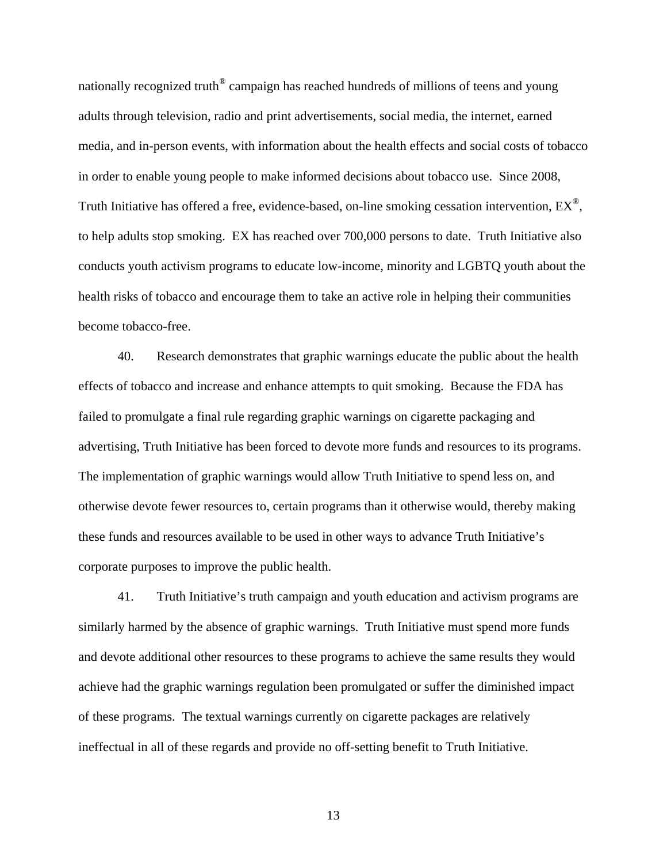nationally recognized truth<sup>®</sup> campaign has reached hundreds of millions of teens and young adults through television, radio and print advertisements, social media, the internet, earned media, and in-person events, with information about the health effects and social costs of tobacco in order to enable young people to make informed decisions about tobacco use. Since 2008, Truth Initiative has offered a free, evidence-based, on-line smoking cessation intervention,  $EX^{\mathcal{B}}$ , to help adults stop smoking. EX has reached over 700,000 persons to date. Truth Initiative also conducts youth activism programs to educate low-income, minority and LGBTQ youth about the health risks of tobacco and encourage them to take an active role in helping their communities become tobacco-free.

40. Research demonstrates that graphic warnings educate the public about the health effects of tobacco and increase and enhance attempts to quit smoking. Because the FDA has failed to promulgate a final rule regarding graphic warnings on cigarette packaging and advertising, Truth Initiative has been forced to devote more funds and resources to its programs. The implementation of graphic warnings would allow Truth Initiative to spend less on, and otherwise devote fewer resources to, certain programs than it otherwise would, thereby making these funds and resources available to be used in other ways to advance Truth Initiative's corporate purposes to improve the public health.

41. Truth Initiative's truth campaign and youth education and activism programs are similarly harmed by the absence of graphic warnings. Truth Initiative must spend more funds and devote additional other resources to these programs to achieve the same results they would achieve had the graphic warnings regulation been promulgated or suffer the diminished impact of these programs. The textual warnings currently on cigarette packages are relatively ineffectual in all of these regards and provide no off-setting benefit to Truth Initiative.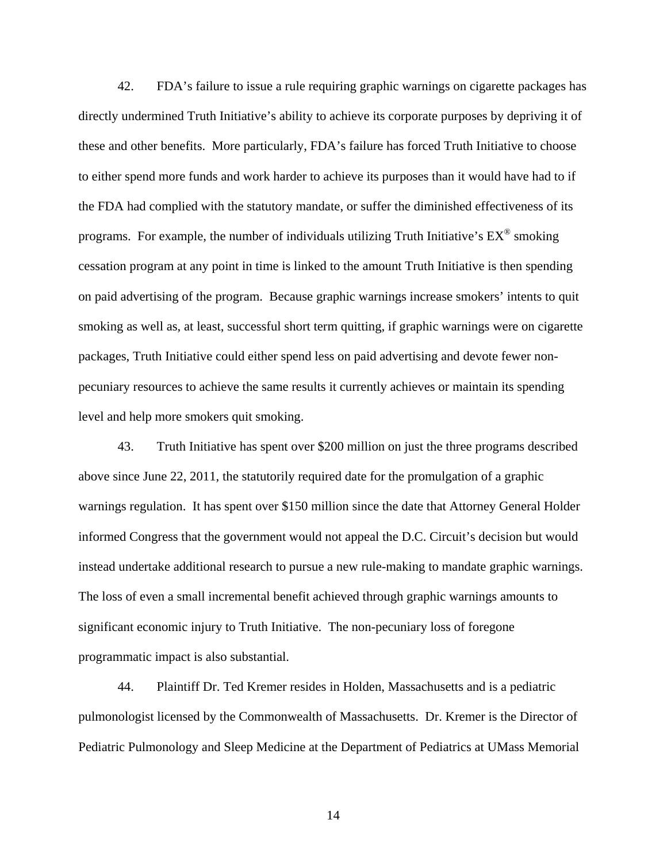42. FDA's failure to issue a rule requiring graphic warnings on cigarette packages has directly undermined Truth Initiative's ability to achieve its corporate purposes by depriving it of these and other benefits. More particularly, FDA's failure has forced Truth Initiative to choose to either spend more funds and work harder to achieve its purposes than it would have had to if the FDA had complied with the statutory mandate, or suffer the diminished effectiveness of its programs. For example, the number of individuals utilizing Truth Initiative's  $EX^{\circledast}$  smoking cessation program at any point in time is linked to the amount Truth Initiative is then spending on paid advertising of the program. Because graphic warnings increase smokers' intents to quit smoking as well as, at least, successful short term quitting, if graphic warnings were on cigarette packages, Truth Initiative could either spend less on paid advertising and devote fewer nonpecuniary resources to achieve the same results it currently achieves or maintain its spending level and help more smokers quit smoking.

43. Truth Initiative has spent over \$200 million on just the three programs described above since June 22, 2011, the statutorily required date for the promulgation of a graphic warnings regulation. It has spent over \$150 million since the date that Attorney General Holder informed Congress that the government would not appeal the D.C. Circuit's decision but would instead undertake additional research to pursue a new rule-making to mandate graphic warnings. The loss of even a small incremental benefit achieved through graphic warnings amounts to significant economic injury to Truth Initiative. The non-pecuniary loss of foregone programmatic impact is also substantial.

44. Plaintiff Dr. Ted Kremer resides in Holden, Massachusetts and is a pediatric pulmonologist licensed by the Commonwealth of Massachusetts. Dr. Kremer is the Director of Pediatric Pulmonology and Sleep Medicine at the Department of Pediatrics at UMass Memorial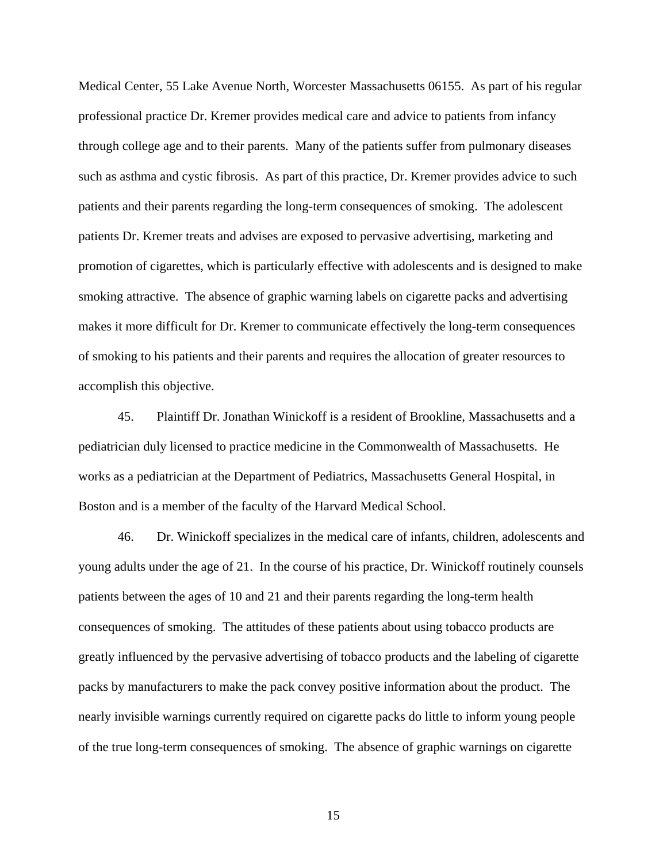Medical Center, 55 Lake Avenue North, Worcester Massachusetts 06155. As part of his regular professional practice Dr. Kremer provides medical care and advice to patients from infancy through college age and to their parents. Many of the patients suffer from pulmonary diseases such as asthma and cystic fibrosis. As part of this practice, Dr. Kremer provides advice to such patients and their parents regarding the long-term consequences of smoking. The adolescent patients Dr. Kremer treats and advises are exposed to pervasive advertising, marketing and promotion of cigarettes, which is particularly effective with adolescents and is designed to make smoking attractive. The absence of graphic warning labels on cigarette packs and advertising makes it more difficult for Dr. Kremer to communicate effectively the long-term consequences of smoking to his patients and their parents and requires the allocation of greater resources to accomplish this objective.

45. Plaintiff Dr. Jonathan Winickoff is a resident of Brookline, Massachusetts and a pediatrician duly licensed to practice medicine in the Commonwealth of Massachusetts. He works as a pediatrician at the Department of Pediatrics, Massachusetts General Hospital, in Boston and is a member of the faculty of the Harvard Medical School.

46. Dr. Winickoff specializes in the medical care of infants, children, adolescents and young adults under the age of 21. In the course of his practice, Dr. Winickoff routinely counsels patients between the ages of 10 and 21 and their parents regarding the long-term health consequences of smoking. The attitudes of these patients about using tobacco products are greatly influenced by the pervasive advertising of tobacco products and the labeling of cigarette packs by manufacturers to make the pack convey positive information about the product. The nearly invisible warnings currently required on cigarette packs do little to inform young people of the true long-term consequences of smoking. The absence of graphic warnings on cigarette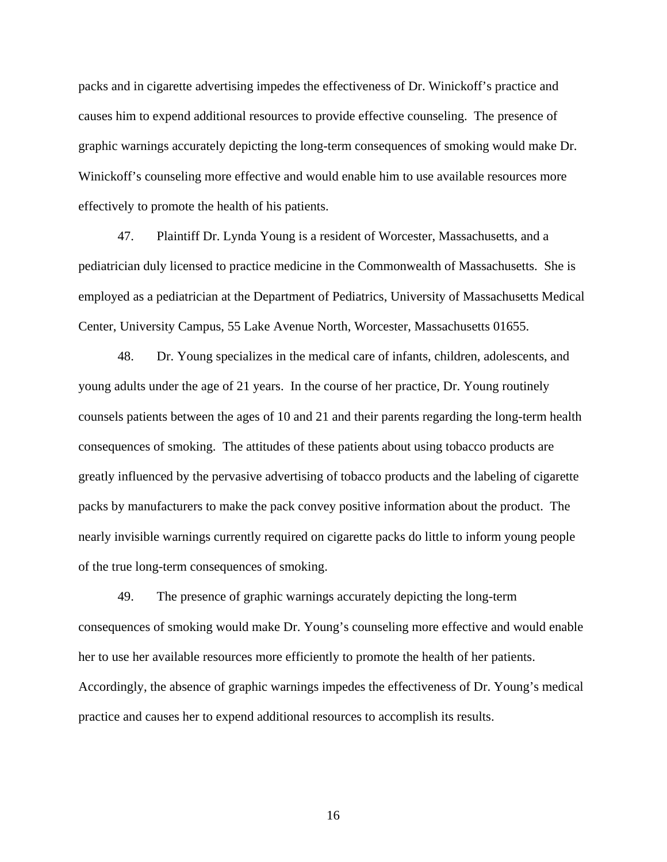packs and in cigarette advertising impedes the effectiveness of Dr. Winickoff's practice and causes him to expend additional resources to provide effective counseling. The presence of graphic warnings accurately depicting the long-term consequences of smoking would make Dr. Winickoff's counseling more effective and would enable him to use available resources more effectively to promote the health of his patients.

47. Plaintiff Dr. Lynda Young is a resident of Worcester, Massachusetts, and a pediatrician duly licensed to practice medicine in the Commonwealth of Massachusetts. She is employed as a pediatrician at the Department of Pediatrics, University of Massachusetts Medical Center, University Campus, 55 Lake Avenue North, Worcester, Massachusetts 01655.

48. Dr. Young specializes in the medical care of infants, children, adolescents, and young adults under the age of 21 years. In the course of her practice, Dr. Young routinely counsels patients between the ages of 10 and 21 and their parents regarding the long-term health consequences of smoking. The attitudes of these patients about using tobacco products are greatly influenced by the pervasive advertising of tobacco products and the labeling of cigarette packs by manufacturers to make the pack convey positive information about the product. The nearly invisible warnings currently required on cigarette packs do little to inform young people of the true long-term consequences of smoking.

49. The presence of graphic warnings accurately depicting the long-term consequences of smoking would make Dr. Young's counseling more effective and would enable her to use her available resources more efficiently to promote the health of her patients. Accordingly, the absence of graphic warnings impedes the effectiveness of Dr. Young's medical practice and causes her to expend additional resources to accomplish its results.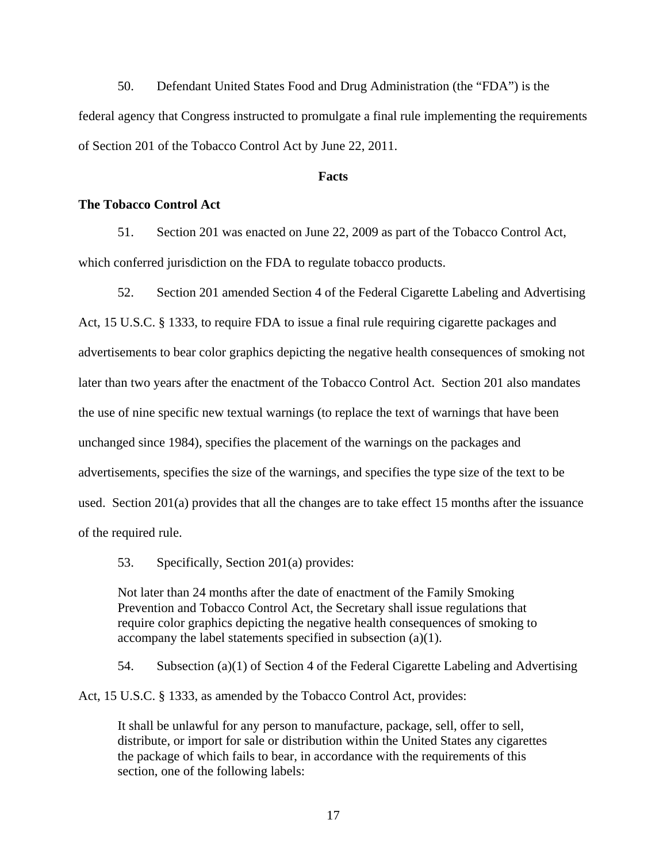50. Defendant United States Food and Drug Administration (the "FDA") is the federal agency that Congress instructed to promulgate a final rule implementing the requirements of Section 201 of the Tobacco Control Act by June 22, 2011.

#### **Facts**

## **The Tobacco Control Act**

51. Section 201 was enacted on June 22, 2009 as part of the Tobacco Control Act, which conferred jurisdiction on the FDA to regulate tobacco products.

52. Section 201 amended Section 4 of the Federal Cigarette Labeling and Advertising Act, 15 U.S.C. § 1333, to require FDA to issue a final rule requiring cigarette packages and advertisements to bear color graphics depicting the negative health consequences of smoking not later than two years after the enactment of the Tobacco Control Act. Section 201 also mandates the use of nine specific new textual warnings (to replace the text of warnings that have been unchanged since 1984), specifies the placement of the warnings on the packages and advertisements, specifies the size of the warnings, and specifies the type size of the text to be used. Section 201(a) provides that all the changes are to take effect 15 months after the issuance of the required rule.

53. Specifically, Section 201(a) provides:

Not later than 24 months after the date of enactment of the Family Smoking Prevention and Tobacco Control Act, the Secretary shall issue regulations that require color graphics depicting the negative health consequences of smoking to accompany the label statements specified in subsection (a)(1).

54. Subsection (a)(1) of Section 4 of the Federal Cigarette Labeling and Advertising

Act, 15 U.S.C. § 1333, as amended by the Tobacco Control Act, provides:

It shall be unlawful for any person to manufacture, package, sell, offer to sell, distribute, or import for sale or distribution within the United States any cigarettes the package of which fails to bear, in accordance with the requirements of this section, one of the following labels: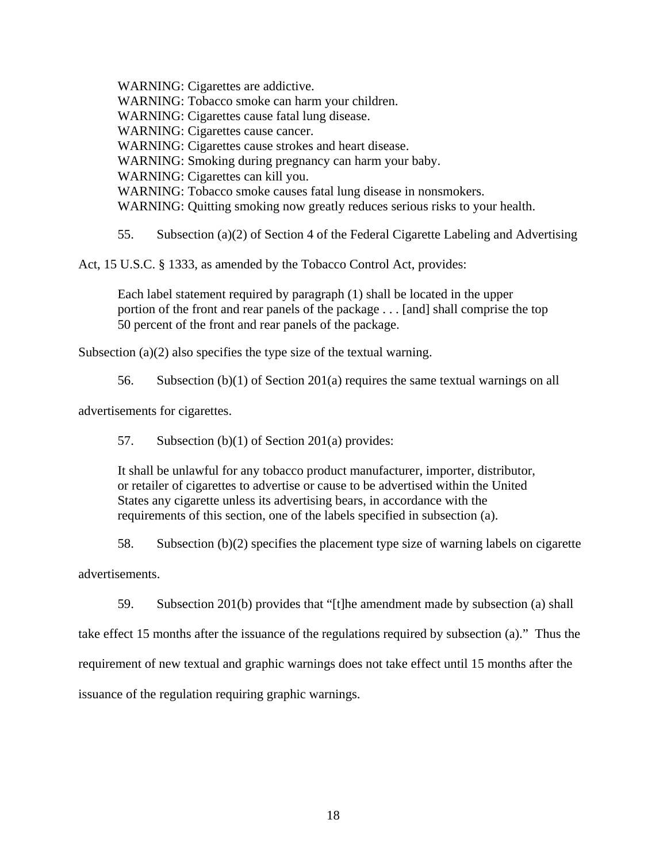WARNING: Cigarettes are addictive. WARNING: Tobacco smoke can harm your children. WARNING: Cigarettes cause fatal lung disease. WARNING: Cigarettes cause cancer. WARNING: Cigarettes cause strokes and heart disease. WARNING: Smoking during pregnancy can harm your baby. WARNING: Cigarettes can kill you. WARNING: Tobacco smoke causes fatal lung disease in nonsmokers. WARNING: Quitting smoking now greatly reduces serious risks to your health.

55. Subsection (a)(2) of Section 4 of the Federal Cigarette Labeling and Advertising

Act, 15 U.S.C. § 1333, as amended by the Tobacco Control Act, provides:

Each label statement required by paragraph (1) shall be located in the upper portion of the front and rear panels of the package . . . [and] shall comprise the top 50 percent of the front and rear panels of the package.

Subsection (a)(2) also specifies the type size of the textual warning.

56. Subsection (b)(1) of Section 201(a) requires the same textual warnings on all

advertisements for cigarettes.

57. Subsection (b)(1) of Section 201(a) provides:

It shall be unlawful for any tobacco product manufacturer, importer, distributor, or retailer of cigarettes to advertise or cause to be advertised within the United States any cigarette unless its advertising bears, in accordance with the requirements of this section, one of the labels specified in subsection (a).

58. Subsection (b)(2) specifies the placement type size of warning labels on cigarette

advertisements.

59. Subsection 201(b) provides that "[t]he amendment made by subsection (a) shall

take effect 15 months after the issuance of the regulations required by subsection (a)." Thus the

requirement of new textual and graphic warnings does not take effect until 15 months after the

issuance of the regulation requiring graphic warnings.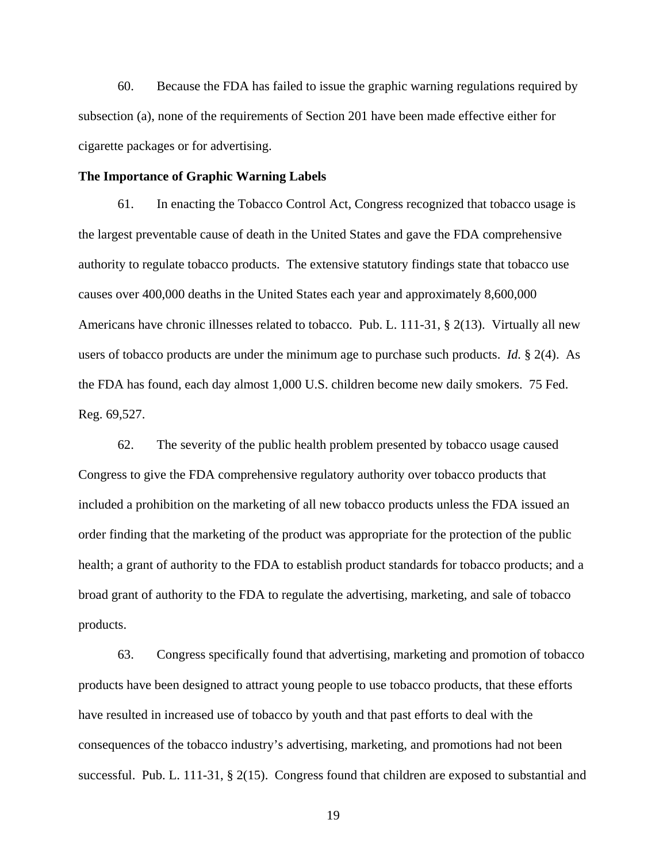60. Because the FDA has failed to issue the graphic warning regulations required by subsection (a), none of the requirements of Section 201 have been made effective either for cigarette packages or for advertising.

#### **The Importance of Graphic Warning Labels**

61. In enacting the Tobacco Control Act, Congress recognized that tobacco usage is the largest preventable cause of death in the United States and gave the FDA comprehensive authority to regulate tobacco products. The extensive statutory findings state that tobacco use causes over 400,000 deaths in the United States each year and approximately 8,600,000 Americans have chronic illnesses related to tobacco. Pub. L. 111-31, § 2(13). Virtually all new users of tobacco products are under the minimum age to purchase such products. *Id.* § 2(4). As the FDA has found, each day almost 1,000 U.S. children become new daily smokers. 75 Fed. Reg. 69,527.

62. The severity of the public health problem presented by tobacco usage caused Congress to give the FDA comprehensive regulatory authority over tobacco products that included a prohibition on the marketing of all new tobacco products unless the FDA issued an order finding that the marketing of the product was appropriate for the protection of the public health; a grant of authority to the FDA to establish product standards for tobacco products; and a broad grant of authority to the FDA to regulate the advertising, marketing, and sale of tobacco products.

63. Congress specifically found that advertising, marketing and promotion of tobacco products have been designed to attract young people to use tobacco products, that these efforts have resulted in increased use of tobacco by youth and that past efforts to deal with the consequences of the tobacco industry's advertising, marketing, and promotions had not been successful. Pub. L. 111-31, § 2(15). Congress found that children are exposed to substantial and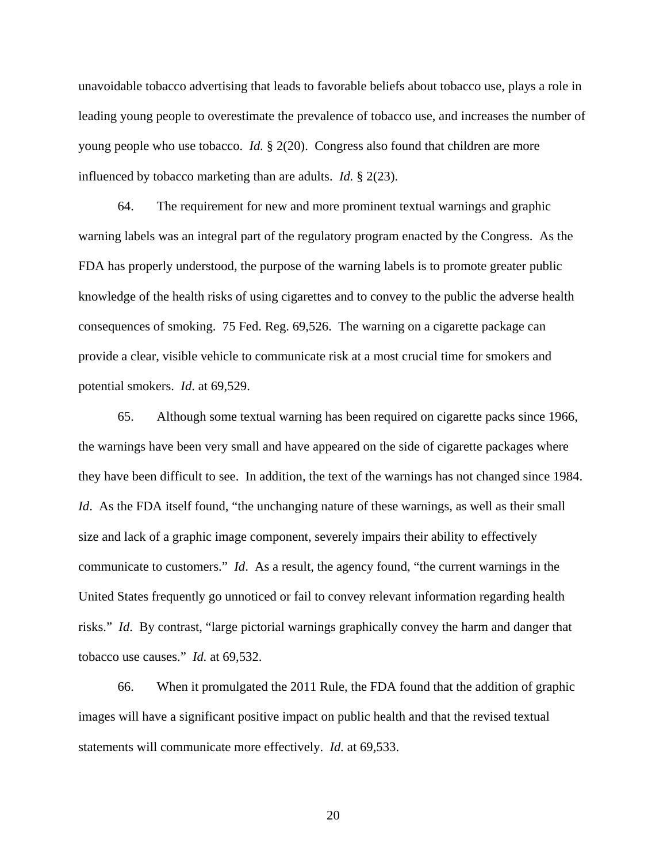unavoidable tobacco advertising that leads to favorable beliefs about tobacco use, plays a role in leading young people to overestimate the prevalence of tobacco use, and increases the number of young people who use tobacco. *Id.* § 2(20). Congress also found that children are more influenced by tobacco marketing than are adults. *Id.* § 2(23).

64. The requirement for new and more prominent textual warnings and graphic warning labels was an integral part of the regulatory program enacted by the Congress. As the FDA has properly understood, the purpose of the warning labels is to promote greater public knowledge of the health risks of using cigarettes and to convey to the public the adverse health consequences of smoking. 75 Fed. Reg. 69,526. The warning on a cigarette package can provide a clear, visible vehicle to communicate risk at a most crucial time for smokers and potential smokers. *Id*. at 69,529.

65. Although some textual warning has been required on cigarette packs since 1966, the warnings have been very small and have appeared on the side of cigarette packages where they have been difficult to see. In addition, the text of the warnings has not changed since 1984. *Id.* As the FDA itself found, "the unchanging nature of these warnings, as well as their small size and lack of a graphic image component, severely impairs their ability to effectively communicate to customers." *Id*. As a result, the agency found, "the current warnings in the United States frequently go unnoticed or fail to convey relevant information regarding health risks." *Id*. By contrast, "large pictorial warnings graphically convey the harm and danger that tobacco use causes." *Id.* at 69,532.

66. When it promulgated the 2011 Rule, the FDA found that the addition of graphic images will have a significant positive impact on public health and that the revised textual statements will communicate more effectively. *Id.* at 69,533.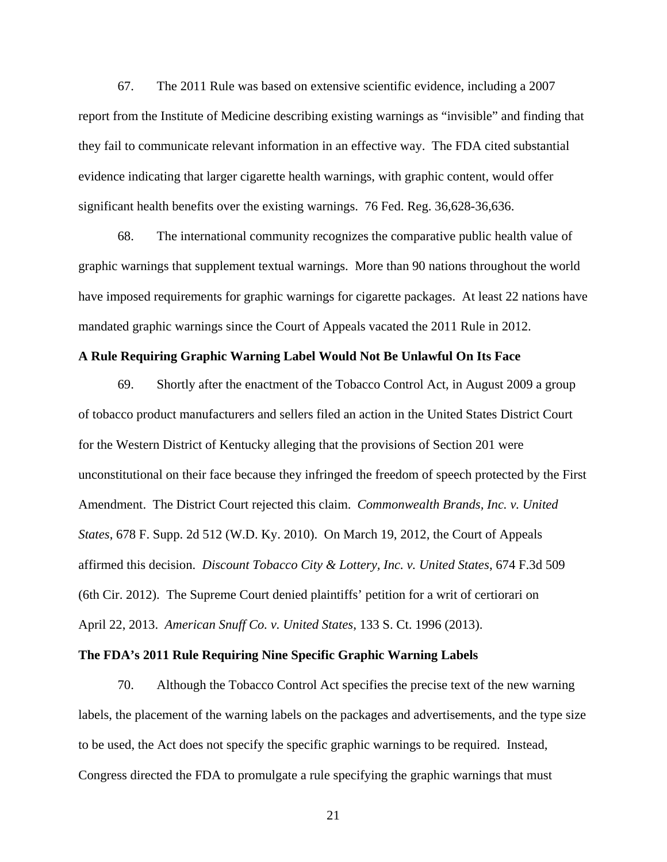67. The 2011 Rule was based on extensive scientific evidence, including a 2007 report from the Institute of Medicine describing existing warnings as "invisible" and finding that they fail to communicate relevant information in an effective way. The FDA cited substantial evidence indicating that larger cigarette health warnings, with graphic content, would offer significant health benefits over the existing warnings. 76 Fed. Reg. 36,628-36,636.

68. The international community recognizes the comparative public health value of graphic warnings that supplement textual warnings. More than 90 nations throughout the world have imposed requirements for graphic warnings for cigarette packages. At least 22 nations have mandated graphic warnings since the Court of Appeals vacated the 2011 Rule in 2012.

#### **A Rule Requiring Graphic Warning Label Would Not Be Unlawful On Its Face**

69. Shortly after the enactment of the Tobacco Control Act, in August 2009 a group of tobacco product manufacturers and sellers filed an action in the United States District Court for the Western District of Kentucky alleging that the provisions of Section 201 were unconstitutional on their face because they infringed the freedom of speech protected by the First Amendment. The District Court rejected this claim. *Commonwealth Brands, Inc. v. United States*, 678 F. Supp. 2d 512 (W.D. Ky. 2010). On March 19, 2012, the Court of Appeals affirmed this decision. *Discount Tobacco City & Lottery, Inc. v. United States*, 674 F.3d 509 (6th Cir. 2012). The Supreme Court denied plaintiffs' petition for a writ of certiorari on April 22, 2013. *American Snuff Co. v. United States*, 133 S. Ct. 1996 (2013).

## **The FDA's 2011 Rule Requiring Nine Specific Graphic Warning Labels**

70. Although the Tobacco Control Act specifies the precise text of the new warning labels, the placement of the warning labels on the packages and advertisements, and the type size to be used, the Act does not specify the specific graphic warnings to be required. Instead, Congress directed the FDA to promulgate a rule specifying the graphic warnings that must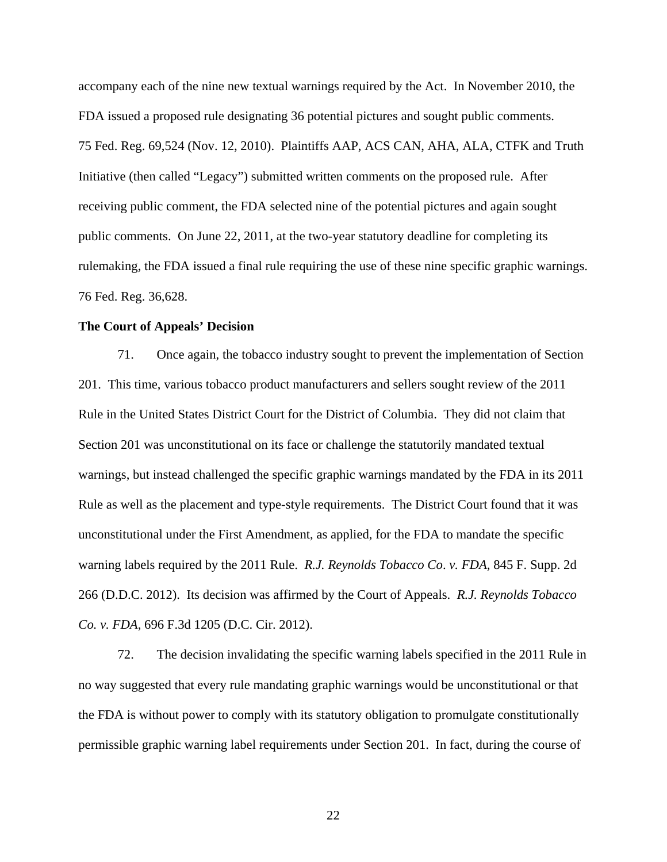accompany each of the nine new textual warnings required by the Act. In November 2010, the FDA issued a proposed rule designating 36 potential pictures and sought public comments. 75 Fed. Reg. 69,524 (Nov. 12, 2010). Plaintiffs AAP, ACS CAN, AHA, ALA, CTFK and Truth Initiative (then called "Legacy") submitted written comments on the proposed rule. After receiving public comment, the FDA selected nine of the potential pictures and again sought public comments. On June 22, 2011, at the two-year statutory deadline for completing its rulemaking, the FDA issued a final rule requiring the use of these nine specific graphic warnings. 76 Fed. Reg. 36,628.

#### **The Court of Appeals' Decision**

71. Once again, the tobacco industry sought to prevent the implementation of Section 201. This time, various tobacco product manufacturers and sellers sought review of the 2011 Rule in the United States District Court for the District of Columbia. They did not claim that Section 201 was unconstitutional on its face or challenge the statutorily mandated textual warnings, but instead challenged the specific graphic warnings mandated by the FDA in its 2011 Rule as well as the placement and type-style requirements. The District Court found that it was unconstitutional under the First Amendment, as applied, for the FDA to mandate the specific warning labels required by the 2011 Rule. *R.J. Reynolds Tobacco Co*. *v. FDA*, 845 F. Supp. 2d 266 (D.D.C. 2012). Its decision was affirmed by the Court of Appeals. *R.J. Reynolds Tobacco Co. v. FDA*, 696 F.3d 1205 (D.C. Cir. 2012).

72. The decision invalidating the specific warning labels specified in the 2011 Rule in no way suggested that every rule mandating graphic warnings would be unconstitutional or that the FDA is without power to comply with its statutory obligation to promulgate constitutionally permissible graphic warning label requirements under Section 201. In fact, during the course of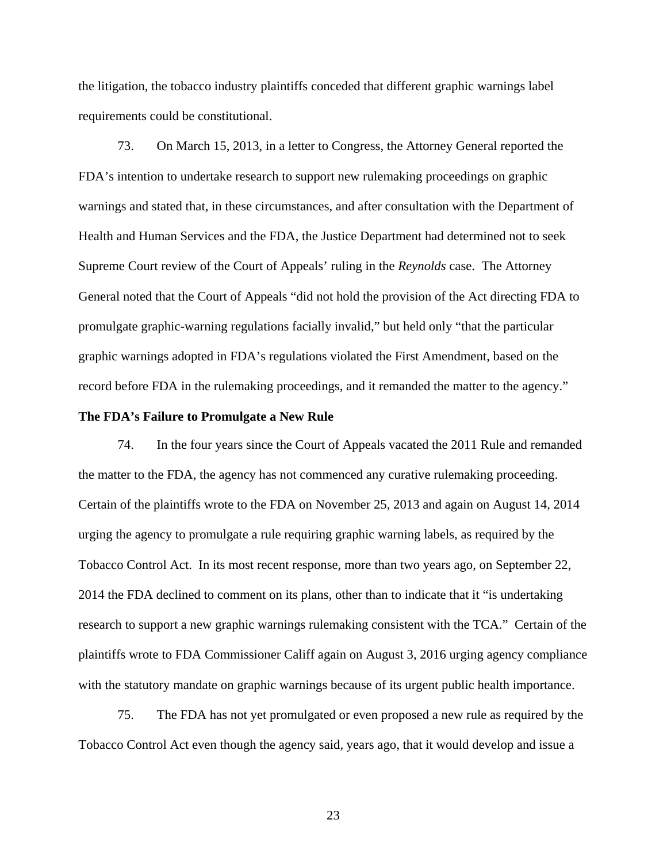the litigation, the tobacco industry plaintiffs conceded that different graphic warnings label requirements could be constitutional.

73. On March 15, 2013, in a letter to Congress, the Attorney General reported the FDA's intention to undertake research to support new rulemaking proceedings on graphic warnings and stated that, in these circumstances, and after consultation with the Department of Health and Human Services and the FDA, the Justice Department had determined not to seek Supreme Court review of the Court of Appeals' ruling in the *Reynolds* case. The Attorney General noted that the Court of Appeals "did not hold the provision of the Act directing FDA to promulgate graphic-warning regulations facially invalid," but held only "that the particular graphic warnings adopted in FDA's regulations violated the First Amendment, based on the record before FDA in the rulemaking proceedings, and it remanded the matter to the agency."

#### **The FDA's Failure to Promulgate a New Rule**

74. In the four years since the Court of Appeals vacated the 2011 Rule and remanded the matter to the FDA, the agency has not commenced any curative rulemaking proceeding. Certain of the plaintiffs wrote to the FDA on November 25, 2013 and again on August 14, 2014 urging the agency to promulgate a rule requiring graphic warning labels, as required by the Tobacco Control Act. In its most recent response, more than two years ago, on September 22, 2014 the FDA declined to comment on its plans, other than to indicate that it "is undertaking research to support a new graphic warnings rulemaking consistent with the TCA." Certain of the plaintiffs wrote to FDA Commissioner Califf again on August 3, 2016 urging agency compliance with the statutory mandate on graphic warnings because of its urgent public health importance.

75. The FDA has not yet promulgated or even proposed a new rule as required by the Tobacco Control Act even though the agency said, years ago, that it would develop and issue a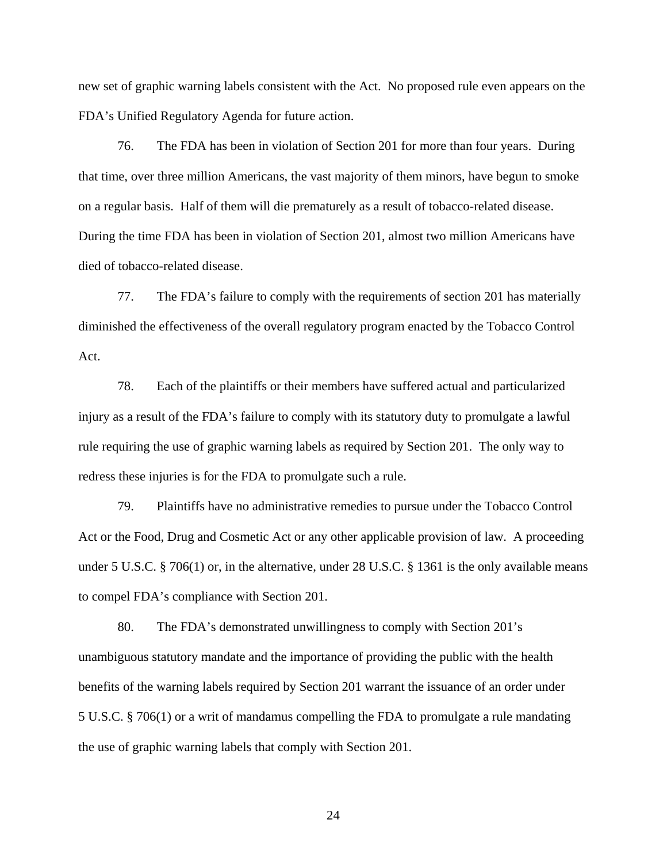new set of graphic warning labels consistent with the Act. No proposed rule even appears on the FDA's Unified Regulatory Agenda for future action.

76. The FDA has been in violation of Section 201 for more than four years. During that time, over three million Americans, the vast majority of them minors, have begun to smoke on a regular basis. Half of them will die prematurely as a result of tobacco-related disease. During the time FDA has been in violation of Section 201, almost two million Americans have died of tobacco-related disease.

77. The FDA's failure to comply with the requirements of section 201 has materially diminished the effectiveness of the overall regulatory program enacted by the Tobacco Control Act.

78. Each of the plaintiffs or their members have suffered actual and particularized injury as a result of the FDA's failure to comply with its statutory duty to promulgate a lawful rule requiring the use of graphic warning labels as required by Section 201. The only way to redress these injuries is for the FDA to promulgate such a rule.

79. Plaintiffs have no administrative remedies to pursue under the Tobacco Control Act or the Food, Drug and Cosmetic Act or any other applicable provision of law. A proceeding under 5 U.S.C. § 706(1) or, in the alternative, under 28 U.S.C. § 1361 is the only available means to compel FDA's compliance with Section 201.

80. The FDA's demonstrated unwillingness to comply with Section 201's unambiguous statutory mandate and the importance of providing the public with the health benefits of the warning labels required by Section 201 warrant the issuance of an order under 5 U.S.C. § 706(1) or a writ of mandamus compelling the FDA to promulgate a rule mandating the use of graphic warning labels that comply with Section 201.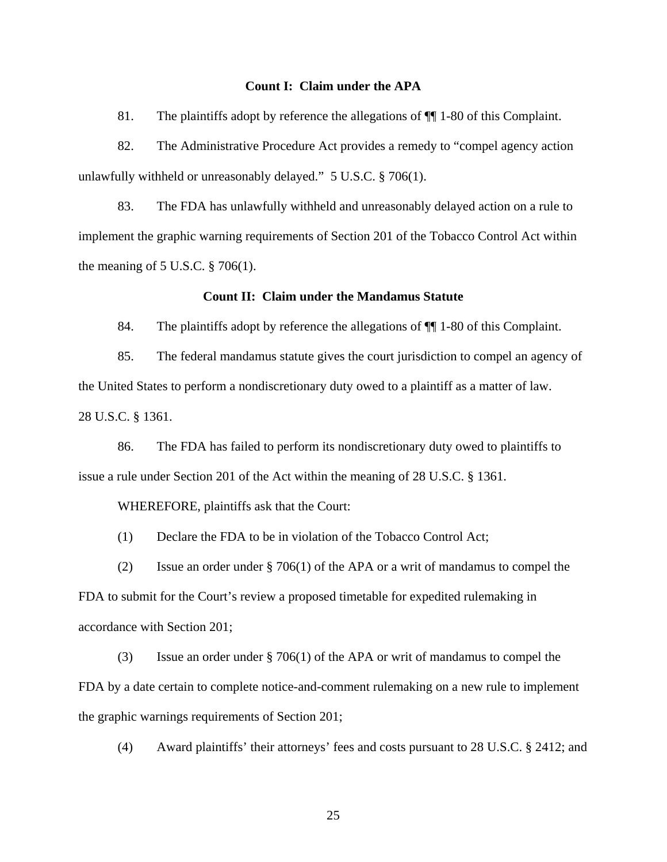#### **Count I: Claim under the APA**

81. The plaintiffs adopt by reference the allegations of ¶¶ 1-80 of this Complaint.

82. The Administrative Procedure Act provides a remedy to "compel agency action unlawfully withheld or unreasonably delayed." 5 U.S.C. § 706(1).

83. The FDA has unlawfully withheld and unreasonably delayed action on a rule to implement the graphic warning requirements of Section 201 of the Tobacco Control Act within the meaning of  $5$  U.S.C.  $\S$  706(1).

#### **Count II: Claim under the Mandamus Statute**

84. The plaintiffs adopt by reference the allegations of  $\P$  1-80 of this Complaint.

85. The federal mandamus statute gives the court jurisdiction to compel an agency of the United States to perform a nondiscretionary duty owed to a plaintiff as a matter of law. 28 U.S.C. § 1361.

86. The FDA has failed to perform its nondiscretionary duty owed to plaintiffs to issue a rule under Section 201 of the Act within the meaning of 28 U.S.C. § 1361.

WHEREFORE, plaintiffs ask that the Court:

(1) Declare the FDA to be in violation of the Tobacco Control Act;

(2) Issue an order under § 706(1) of the APA or a writ of mandamus to compel the FDA to submit for the Court's review a proposed timetable for expedited rulemaking in accordance with Section 201;

(3) Issue an order under § 706(1) of the APA or writ of mandamus to compel the FDA by a date certain to complete notice-and-comment rulemaking on a new rule to implement the graphic warnings requirements of Section 201;

(4) Award plaintiffs' their attorneys' fees and costs pursuant to 28 U.S.C. § 2412; and